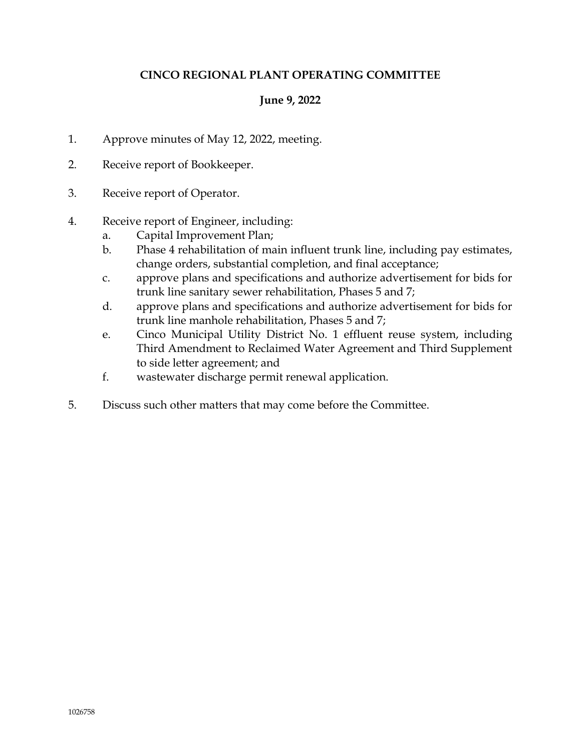# **CINCO REGIONAL PLANT OPERATING COMMITTEE**

# **June 9, 2022**

- 1. Approve minutes of May 12, 2022, meeting.
- 2. Receive report of Bookkeeper.
- 3. Receive report of Operator.
- 4. Receive report of Engineer, including:
	- a. Capital Improvement Plan;
	- b. Phase 4 rehabilitation of main influent trunk line, including pay estimates, change orders, substantial completion, and final acceptance;
	- c. approve plans and specifications and authorize advertisement for bids for trunk line sanitary sewer rehabilitation, Phases 5 and 7;
	- d. approve plans and specifications and authorize advertisement for bids for trunk line manhole rehabilitation, Phases 5 and 7;
	- e. Cinco Municipal Utility District No. 1 effluent reuse system, including Third Amendment to Reclaimed Water Agreement and Third Supplement to side letter agreement; and
	- f. wastewater discharge permit renewal application.
- 5. Discuss such other matters that may come before the Committee.